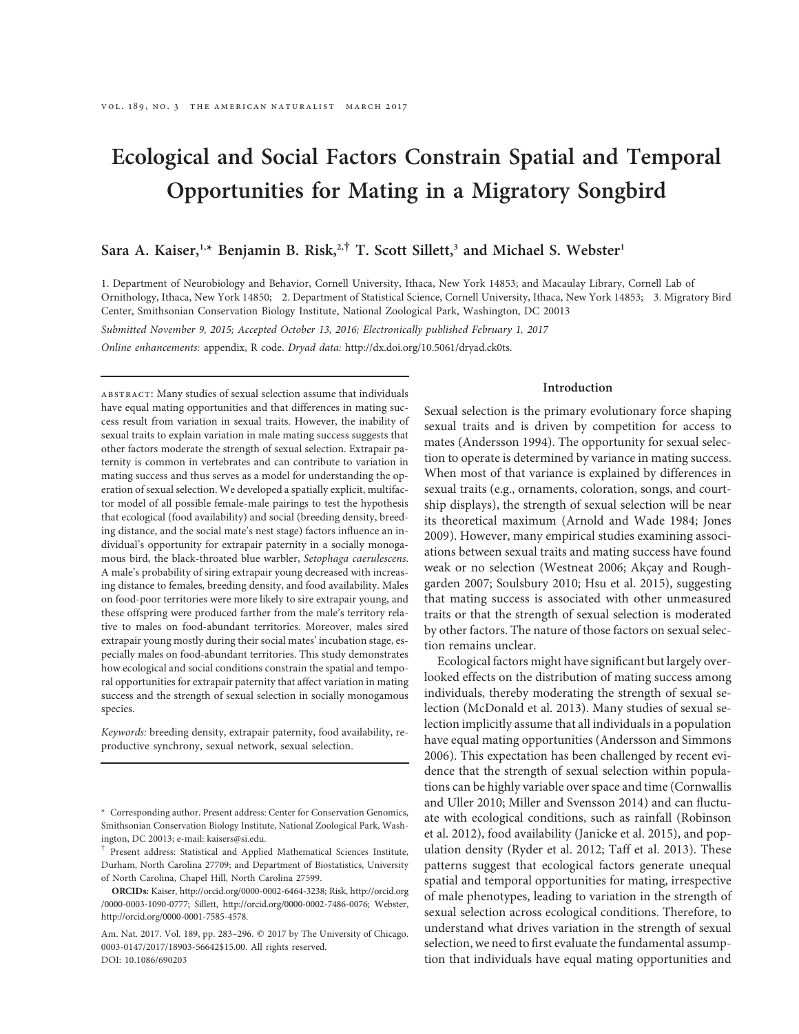# Ecological and Social Factors Constrain Spatial and Temporal Opportunities for Mating in a Migratory Songbird

## Sara A. Kaiser,<sup>1,\*</sup> Benjamin B. Risk,<sup>2,†</sup> T. Scott Sillett,<sup>3</sup> and Michael S. Webster<sup>1</sup>

1. Department of Neurobiology and Behavior, Cornell University, Ithaca, New York 14853; and Macaulay Library, Cornell Lab of Ornithology, Ithaca, New York 14850; 2. Department of Statistical Science, Cornell University, Ithaca, New York 14853; 3. Migratory Bird Center, Smithsonian Conservation Biology Institute, National Zoological Park, Washington, DC 20013

Submitted November 9, 2015; Accepted October 13, 2016; Electronically published February 1, 2017 Online enhancements: appendix, R code. Dryad data: http://dx.doi.org/10.5061/dryad.ck0ts.

Introduction

abstract: Many studies of sexual selection assume that individuals have equal mating opportunities and that differences in mating success result from variation in sexual traits. However, the inability of sexual traits to explain variation in male mating success suggests that other factors moderate the strength of sexual selection. Extrapair paternity is common in vertebrates and can contribute to variation in mating success and thus serves as a model for understanding the operation of sexual selection. We developed a spatially explicit, multifactor model of all possible female-male pairings to test the hypothesis that ecological (food availability) and social (breeding density, breeding distance, and the social mate's nest stage) factors influence an individual's opportunity for extrapair paternity in a socially monogamous bird, the black-throated blue warbler, Setophaga caerulescens. A male's probability of siring extrapair young decreased with increasing distance to females, breeding density, and food availability. Males on food-poor territories were more likely to sire extrapair young, and these offspring were produced farther from the male's territory relative to males on food-abundant territories. Moreover, males sired extrapair young mostly during their social mates' incubation stage, especially males on food-abundant territories. This study demonstrates how ecological and social conditions constrain the spatial and temporal opportunities for extrapair paternity that affect variation in mating success and the strength of sexual selection in socially monogamous species.

Keywords: breeding density, extrapair paternity, food availability, reproductive synchrony, sexual network, sexual selection.

† Present address: Statistical and Applied Mathematical Sciences Institute, Durham, North Carolina 27709; and Department of Biostatistics, University of North Carolina, Chapel Hill, North Carolina 27599.

ORCIDs: Kaiser, http://orcid.org/0000-0002-6464-3238; Risk, http://orcid.org /0000-0003-1090-0777; Sillett, http://orcid.org/0000-0002-7486-0076; Webster, http://orcid.org/0000-0001-7585-4578.

Am. Nat. 2017. Vol. 189, pp. 283-296. @ 2017 by The University of Chicago. 0003-0147/2017/18903-56642\$15.00. All rights reserved. DOI: 10.1086/690203

Sexual selection is the primary evolutionary force shaping sexual traits and is driven by competition for access to mates (Andersson 1994). The opportunity for sexual selection to operate is determined by variance in mating success. When most of that variance is explained by differences in sexual traits (e.g., ornaments, coloration, songs, and courtship displays), the strength of sexual selection will be near its theoretical maximum (Arnold and Wade 1984; Jones 2009). However, many empirical studies examining associations between sexual traits and mating success have found weak or no selection (Westneat 2006; Akçay and Roughgarden 2007; Soulsbury 2010; Hsu et al. 2015), suggesting that mating success is associated with other unmeasured traits or that the strength of sexual selection is moderated by other factors. The nature of those factors on sexual selection remains unclear.

Ecological factors might have significant but largely overlooked effects on the distribution of mating success among individuals, thereby moderating the strength of sexual selection (McDonald et al. 2013). Many studies of sexual selection implicitly assume that all individuals in a population have equal mating opportunities (Andersson and Simmons 2006). This expectation has been challenged by recent evidence that the strength of sexual selection within populations can be highly variable over space and time (Cornwallis and Uller 2010; Miller and Svensson 2014) and can fluctuate with ecological conditions, such as rainfall (Robinson et al. 2012), food availability (Janicke et al. 2015), and population density (Ryder et al. 2012; Taff et al. 2013). These patterns suggest that ecological factors generate unequal spatial and temporal opportunities for mating, irrespective of male phenotypes, leading to variation in the strength of sexual selection across ecological conditions. Therefore, to understand what drives variation in the strength of sexual selection, we need to first evaluate the fundamental assumption that individuals have equal mating opportunities and

Corresponding author. Present address: Center for Conservation Genomics, Smithsonian Conservation Biology Institute, National Zoological Park, Washington, DC 20013; e-mail: kaisers@si.edu.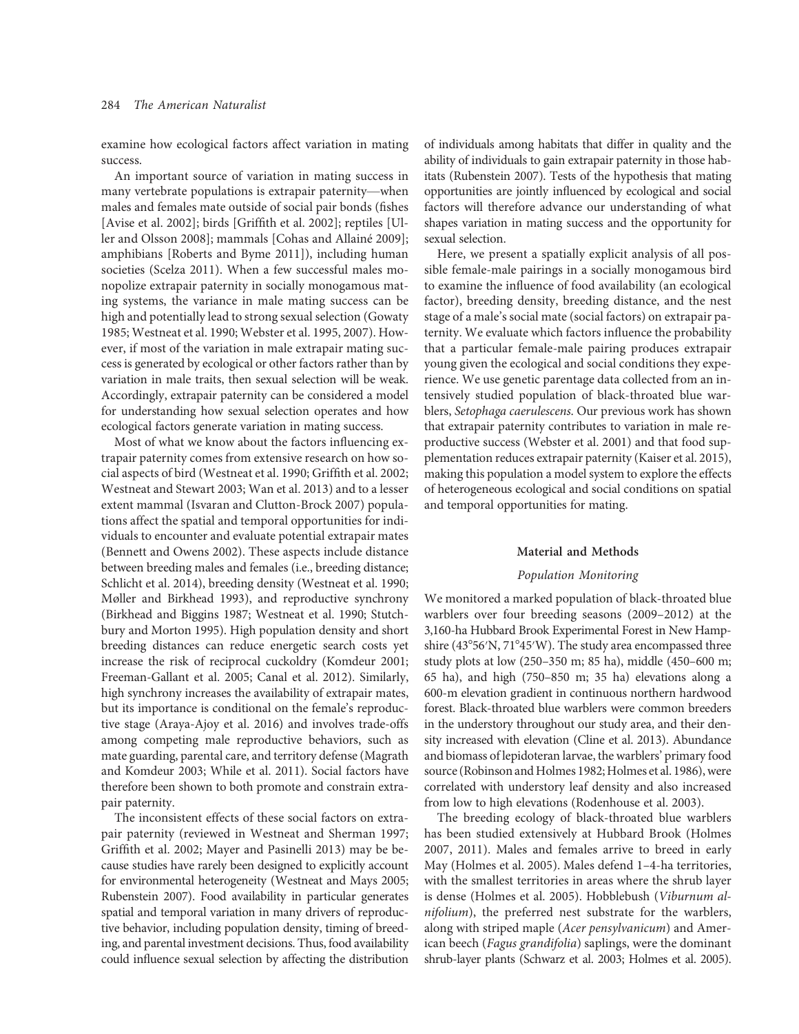examine how ecological factors affect variation in mating success.

An important source of variation in mating success in many vertebrate populations is extrapair paternity—when males and females mate outside of social pair bonds (fishes [Avise et al. 2002]; birds [Griffith et al. 2002]; reptiles [Uller and Olsson 2008]; mammals [Cohas and Allainé 2009]; amphibians [Roberts and Byme 2011]), including human societies (Scelza 2011). When a few successful males monopolize extrapair paternity in socially monogamous mating systems, the variance in male mating success can be high and potentially lead to strong sexual selection (Gowaty 1985; Westneat et al. 1990; Webster et al. 1995, 2007). However, if most of the variation in male extrapair mating success is generated by ecological or other factors rather than by variation in male traits, then sexual selection will be weak. Accordingly, extrapair paternity can be considered a model for understanding how sexual selection operates and how ecological factors generate variation in mating success.

Most of what we know about the factors influencing extrapair paternity comes from extensive research on how social aspects of bird (Westneat et al. 1990; Griffith et al. 2002; Westneat and Stewart 2003; Wan et al. 2013) and to a lesser extent mammal (Isvaran and Clutton-Brock 2007) populations affect the spatial and temporal opportunities for individuals to encounter and evaluate potential extrapair mates (Bennett and Owens 2002). These aspects include distance between breeding males and females (i.e., breeding distance; Schlicht et al. 2014), breeding density (Westneat et al. 1990; Møller and Birkhead 1993), and reproductive synchrony (Birkhead and Biggins 1987; Westneat et al. 1990; Stutchbury and Morton 1995). High population density and short breeding distances can reduce energetic search costs yet increase the risk of reciprocal cuckoldry (Komdeur 2001; Freeman-Gallant et al. 2005; Canal et al. 2012). Similarly, high synchrony increases the availability of extrapair mates, but its importance is conditional on the female's reproductive stage (Araya-Ajoy et al. 2016) and involves trade-offs among competing male reproductive behaviors, such as mate guarding, parental care, and territory defense (Magrath and Komdeur 2003; While et al. 2011). Social factors have therefore been shown to both promote and constrain extrapair paternity.

The inconsistent effects of these social factors on extrapair paternity (reviewed in Westneat and Sherman 1997; Griffith et al. 2002; Mayer and Pasinelli 2013) may be because studies have rarely been designed to explicitly account for environmental heterogeneity (Westneat and Mays 2005; Rubenstein 2007). Food availability in particular generates spatial and temporal variation in many drivers of reproductive behavior, including population density, timing of breeding, and parental investment decisions. Thus, food availability could influence sexual selection by affecting the distribution

of individuals among habitats that differ in quality and the ability of individuals to gain extrapair paternity in those habitats (Rubenstein 2007). Tests of the hypothesis that mating opportunities are jointly influenced by ecological and social factors will therefore advance our understanding of what shapes variation in mating success and the opportunity for sexual selection.

Here, we present a spatially explicit analysis of all possible female-male pairings in a socially monogamous bird to examine the influence of food availability (an ecological factor), breeding density, breeding distance, and the nest stage of a male's social mate (social factors) on extrapair paternity. We evaluate which factors influence the probability that a particular female-male pairing produces extrapair young given the ecological and social conditions they experience. We use genetic parentage data collected from an intensively studied population of black-throated blue warblers, Setophaga caerulescens. Our previous work has shown that extrapair paternity contributes to variation in male reproductive success (Webster et al. 2001) and that food supplementation reduces extrapair paternity (Kaiser et al. 2015), making this population a model system to explore the effects of heterogeneous ecological and social conditions on spatial and temporal opportunities for mating.

#### Material and Methods

#### Population Monitoring

We monitored a marked population of black-throated blue warblers over four breeding seasons (2009–2012) at the 3,160-ha Hubbard Brook Experimental Forest in New Hampshire (43°56'N, 71°45'W). The study area encompassed three study plots at low (250–350 m; 85 ha), middle (450–600 m; 65 ha), and high (750–850 m; 35 ha) elevations along a 600-m elevation gradient in continuous northern hardwood forest. Black-throated blue warblers were common breeders in the understory throughout our study area, and their density increased with elevation (Cline et al. 2013). Abundance and biomass of lepidoteran larvae, the warblers' primary food source (Robinson and Holmes 1982; Holmes et al. 1986), were correlated with understory leaf density and also increased from low to high elevations (Rodenhouse et al. 2003).

The breeding ecology of black-throated blue warblers has been studied extensively at Hubbard Brook (Holmes 2007, 2011). Males and females arrive to breed in early May (Holmes et al. 2005). Males defend 1–4-ha territories, with the smallest territories in areas where the shrub layer is dense (Holmes et al. 2005). Hobblebush (Viburnum alnifolium), the preferred nest substrate for the warblers, along with striped maple (Acer pensylvanicum) and American beech (Fagus grandifolia) saplings, were the dominant shrub-layer plants (Schwarz et al. 2003; Holmes et al. 2005).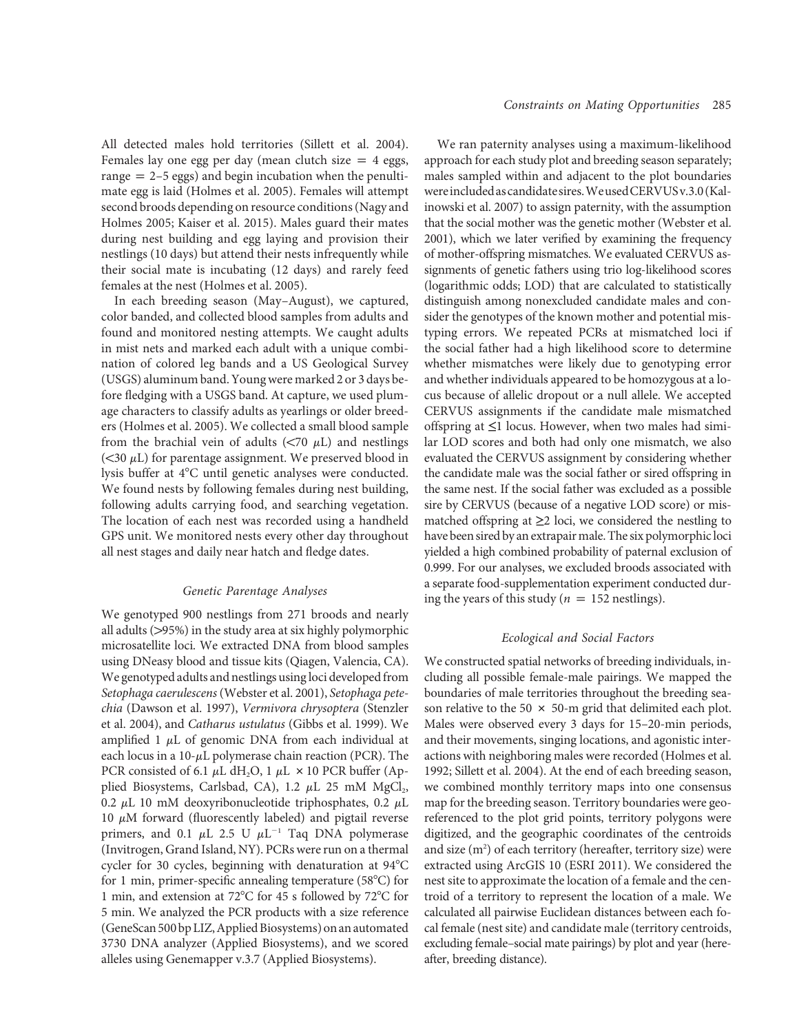All detected males hold territories (Sillett et al. 2004). Females lay one egg per day (mean clutch size  $= 4$  eggs, range  $= 2-5$  eggs) and begin incubation when the penultimate egg is laid (Holmes et al. 2005). Females will attempt second broods depending on resource conditions (Nagy and Holmes 2005; Kaiser et al. 2015). Males guard their mates during nest building and egg laying and provision their nestlings (10 days) but attend their nests infrequently while their social mate is incubating (12 days) and rarely feed females at the nest (Holmes et al. 2005).

In each breeding season (May–August), we captured, color banded, and collected blood samples from adults and found and monitored nesting attempts. We caught adults in mist nets and marked each adult with a unique combination of colored leg bands and a US Geological Survey (USGS) aluminum band. Young were marked 2 or 3 days before fledging with a USGS band. At capture, we used plumage characters to classify adults as yearlings or older breeders (Holmes et al. 2005). We collected a small blood sample from the brachial vein of adults  $(< 70 \mu L$ ) and nestlings ( $<$ 30  $\mu$ L) for parentage assignment. We preserved blood in lysis buffer at 4°C until genetic analyses were conducted. We found nests by following females during nest building, following adults carrying food, and searching vegetation. The location of each nest was recorded using a handheld GPS unit. We monitored nests every other day throughout all nest stages and daily near hatch and fledge dates.

#### Genetic Parentage Analyses

We genotyped 900 nestlings from 271 broods and nearly all adults (>95%) in the study area at six highly polymorphic microsatellite loci. We extracted DNA from blood samples using DNeasy blood and tissue kits (Qiagen, Valencia, CA). We genotyped adults and nestlings using loci developed from Setophaga caerulescens (Webster et al. 2001), Setophaga petechia (Dawson et al. 1997), Vermivora chrysoptera (Stenzler et al. 2004), and Catharus ustulatus (Gibbs et al. 1999). We amplified 1  $\mu$ L of genomic DNA from each individual at each locus in a  $10$ - $\mu$ L polymerase chain reaction (PCR). The PCR consisted of 6.1  $\mu$ L dH<sub>2</sub>O, 1  $\mu$ L  $\times$  10 PCR buffer (Applied Biosystems, Carlsbad, CA), 1.2  $\mu$ L 25 mM MgCl<sub>2</sub>, 0.2  $\mu$ L 10 mM deoxyribonucleotide triphosphates, 0.2  $\mu$ L 10  $\mu$ M forward (fluorescently labeled) and pigtail reverse primers, and 0.1  $\mu$ L 2.5 U  $\mu$ L<sup>-1</sup> Taq DNA polymerase (Invitrogen, Grand Island, NY). PCRs were run on a thermal cycler for 30 cycles, beginning with denaturation at 94°C for 1 min, primer-specific annealing temperature  $(58^{\circ}C)$  for 1 min, and extension at 72°C for 45 s followed by 72°C for 5 min. We analyzed the PCR products with a size reference (GeneScan500 bp LIZ,Applied Biosystems) on an automated 3730 DNA analyzer (Applied Biosystems), and we scored alleles using Genemapper v.3.7 (Applied Biosystems).

We ran paternity analyses using a maximum-likelihood approach for each study plot and breeding season separately; males sampled within and adjacent to the plot boundaries wereincludedascandidate sires.WeusedCERVUSv.3.0 (Kalinowski et al. 2007) to assign paternity, with the assumption that the social mother was the genetic mother (Webster et al. 2001), which we later verified by examining the frequency of mother-offspring mismatches. We evaluated CERVUS assignments of genetic fathers using trio log-likelihood scores (logarithmic odds; LOD) that are calculated to statistically distinguish among nonexcluded candidate males and consider the genotypes of the known mother and potential mistyping errors. We repeated PCRs at mismatched loci if the social father had a high likelihood score to determine whether mismatches were likely due to genotyping error and whether individuals appeared to be homozygous at a locus because of allelic dropout or a null allele. We accepted CERVUS assignments if the candidate male mismatched offspring at  $\leq 1$  locus. However, when two males had similar LOD scores and both had only one mismatch, we also evaluated the CERVUS assignment by considering whether the candidate male was the social father or sired offspring in the same nest. If the social father was excluded as a possible sire by CERVUS (because of a negative LOD score) or mismatched offspring at  $\geq$  loci, we considered the nestling to have been sired by an extrapair male. The six polymorphic loci yielded a high combined probability of paternal exclusion of 0.999. For our analyses, we excluded broods associated with a separate food-supplementation experiment conducted during the years of this study ( $n = 152$  nestlings).

#### Ecological and Social Factors

We constructed spatial networks of breeding individuals, including all possible female-male pairings. We mapped the boundaries of male territories throughout the breeding season relative to the 50  $\times$  50-m grid that delimited each plot. Males were observed every 3 days for 15–20-min periods, and their movements, singing locations, and agonistic interactions with neighboring males were recorded (Holmes et al. 1992; Sillett et al. 2004). At the end of each breeding season, we combined monthly territory maps into one consensus map for the breeding season. Territory boundaries were georeferenced to the plot grid points, territory polygons were digitized, and the geographic coordinates of the centroids and size (m<sup>2</sup>) of each territory (hereafter, territory size) were extracted using ArcGIS 10 (ESRI 2011). We considered the nest site to approximate the location of a female and the centroid of a territory to represent the location of a male. We calculated all pairwise Euclidean distances between each focal female (nest site) and candidate male (territory centroids, excluding female–social mate pairings) by plot and year (hereafter, breeding distance).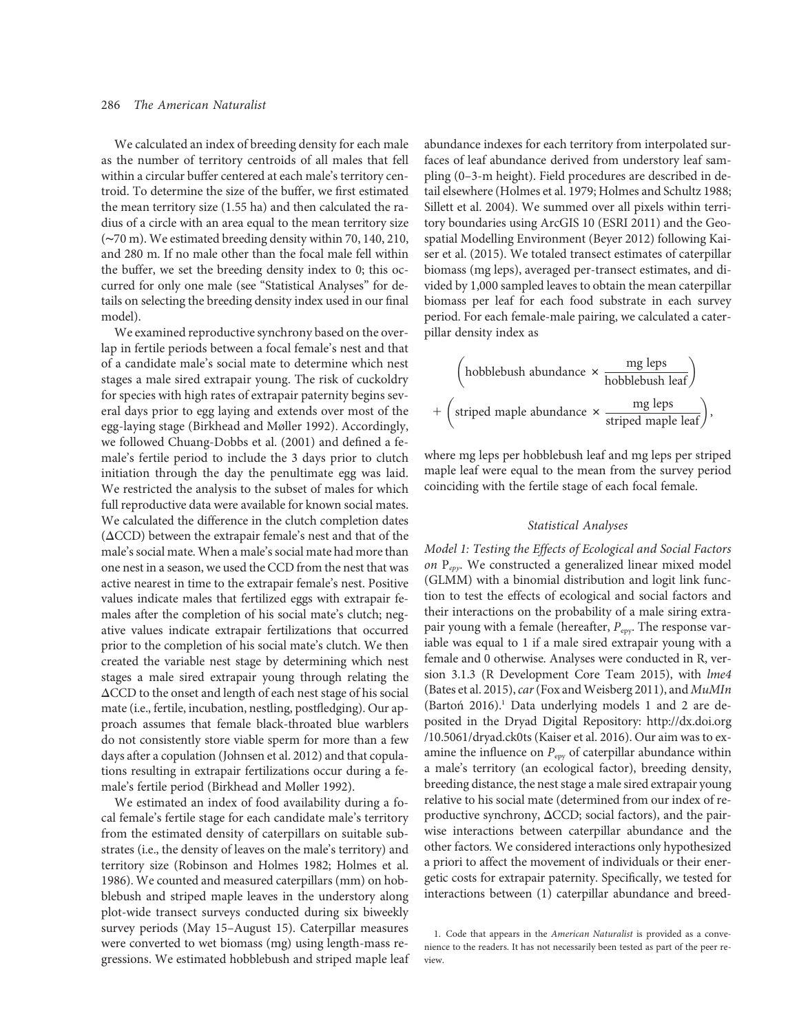We calculated an index of breeding density for each male as the number of territory centroids of all males that fell within a circular buffer centered at each male's territory centroid. To determine the size of the buffer, we first estimated the mean territory size (1.55 ha) and then calculated the radius of a circle with an area equal to the mean territory size (∼70 m). We estimated breeding density within 70, 140, 210, and 280 m. If no male other than the focal male fell within the buffer, we set the breeding density index to 0; this occurred for only one male (see "Statistical Analyses" for details on selecting the breeding density index used in our final model).

We examined reproductive synchrony based on the overlap in fertile periods between a focal female's nest and that of a candidate male's social mate to determine which nest stages a male sired extrapair young. The risk of cuckoldry for species with high rates of extrapair paternity begins several days prior to egg laying and extends over most of the egg-laying stage (Birkhead and Møller 1992). Accordingly, we followed Chuang-Dobbs et al. (2001) and defined a female's fertile period to include the 3 days prior to clutch initiation through the day the penultimate egg was laid. We restricted the analysis to the subset of males for which full reproductive data were available for known social mates. We calculated the difference in the clutch completion dates  $(\Delta CCD)$  between the extrapair female's nest and that of the male's social mate. When a male's social mate had more than one nest in a season, we used the CCD from the nest that was active nearest in time to the extrapair female's nest. Positive values indicate males that fertilized eggs with extrapair females after the completion of his social mate's clutch; negative values indicate extrapair fertilizations that occurred prior to the completion of his social mate's clutch. We then created the variable nest stage by determining which nest stages a male sired extrapair young through relating the  $\Delta$ CCD to the onset and length of each nest stage of his social mate (i.e., fertile, incubation, nestling, postfledging). Our approach assumes that female black-throated blue warblers do not consistently store viable sperm for more than a few days after a copulation (Johnsen et al. 2012) and that copulations resulting in extrapair fertilizations occur during a female's fertile period (Birkhead and Møller 1992).

We estimated an index of food availability during a focal female's fertile stage for each candidate male's territory from the estimated density of caterpillars on suitable substrates (i.e., the density of leaves on the male's territory) and territory size (Robinson and Holmes 1982; Holmes et al. 1986). We counted and measured caterpillars (mm) on hobblebush and striped maple leaves in the understory along plot-wide transect surveys conducted during six biweekly survey periods (May 15–August 15). Caterpillar measures were converted to wet biomass (mg) using length-mass regressions. We estimated hobblebush and striped maple leaf abundance indexes for each territory from interpolated surfaces of leaf abundance derived from understory leaf sampling (0–3-m height). Field procedures are described in detail elsewhere (Holmes et al. 1979; Holmes and Schultz 1988; Sillett et al. 2004). We summed over all pixels within territory boundaries using ArcGIS 10 (ESRI 2011) and the Geospatial Modelling Environment (Beyer 2012) following Kaiser et al. (2015). We totaled transect estimates of caterpillar biomass (mg leps), averaged per-transect estimates, and divided by 1,000 sampled leaves to obtain the mean caterpillar biomass per leaf for each food substrate in each survey period. For each female-male pairing, we calculated a caterpillar density index as

$$
\left(hobblebush abundance \times \frac{mg leps}{hobblebush leaf}\right) + \left(\text{striped maple abundance} \times \frac{mg leps}{\text{striped maple leaf}}\right),
$$

where mg leps per hobblebush leaf and mg leps per striped maple leaf were equal to the mean from the survey period coinciding with the fertile stage of each focal female.

#### Statistical Analyses

Model 1: Testing the Effects of Ecological and Social Factors on  $P_{epv}$ . We constructed a generalized linear mixed model (GLMM) with a binomial distribution and logit link function to test the effects of ecological and social factors and their interactions on the probability of a male siring extrapair young with a female (hereafter,  $P_{\text{epy}}$ . The response variable was equal to 1 if a male sired extrapair young with a female and 0 otherwise. Analyses were conducted in R, version 3.1.3 (R Development Core Team 2015), with lme4 (Bates et al. 2015), car (Fox and Weisberg 2011), and MuMIn  $(Barton 2016).$ <sup>1</sup> Data underlying models 1 and 2 are deposited in the Dryad Digital Repository: http://dx.doi.org /10.5061/dryad.ck0ts (Kaiser et al. 2016). Our aim was to examine the influence on  $P_{\text{epy}}$  of caterpillar abundance within a male's territory (an ecological factor), breeding density, breeding distance, the nest stage a male sired extrapair young relative to his social mate (determined from our index of reproductive synchrony,  $\Delta$ CCD; social factors), and the pairwise interactions between caterpillar abundance and the other factors. We considered interactions only hypothesized a priori to affect the movement of individuals or their energetic costs for extrapair paternity. Specifically, we tested for interactions between (1) caterpillar abundance and breed-

<sup>1.</sup> Code that appears in the American Naturalist is provided as a convenience to the readers. It has not necessarily been tested as part of the peer review.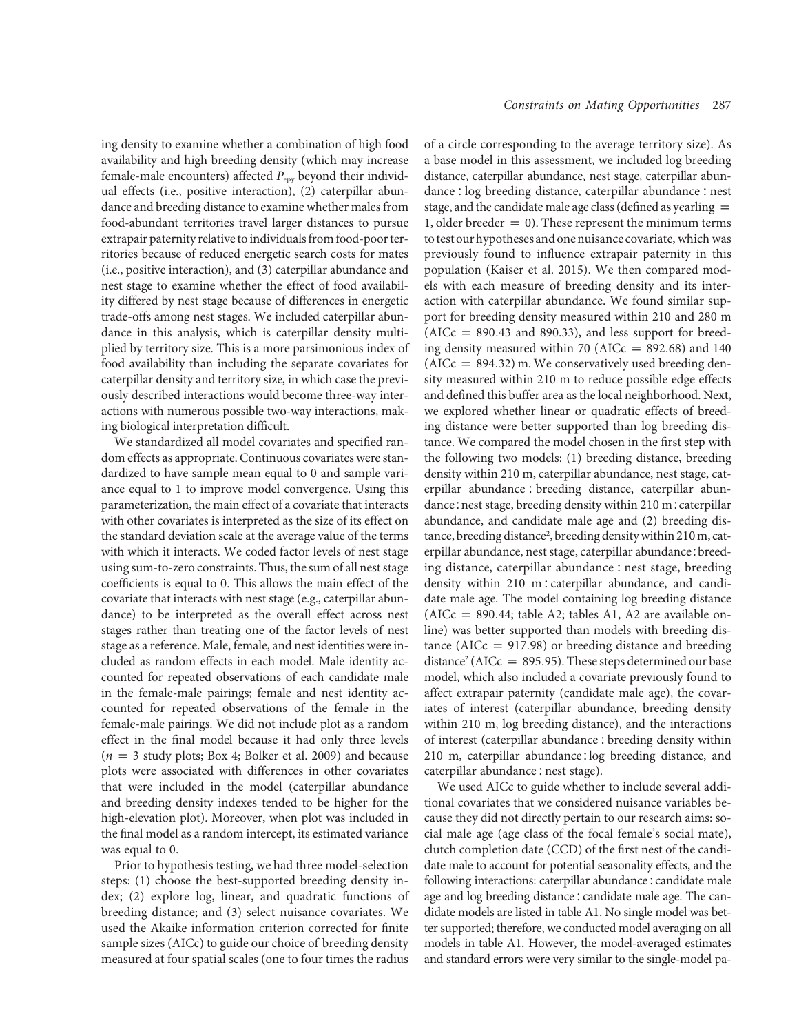ing density to examine whether a combination of high food availability and high breeding density (which may increase female-male encounters) affected  $P_{\text{epy}}$  beyond their individual effects (i.e., positive interaction), (2) caterpillar abundance and breeding distance to examine whether males from food-abundant territories travel larger distances to pursue extrapair paternity relative to individuals from food-poor territories because of reduced energetic search costs for mates (i.e., positive interaction), and (3) caterpillar abundance and nest stage to examine whether the effect of food availability differed by nest stage because of differences in energetic trade-offs among nest stages. We included caterpillar abundance in this analysis, which is caterpillar density multiplied by territory size. This is a more parsimonious index of food availability than including the separate covariates for caterpillar density and territory size, in which case the previously described interactions would become three-way interactions with numerous possible two-way interactions, making biological interpretation difficult.

We standardized all model covariates and specified random effects as appropriate. Continuous covariates were standardized to have sample mean equal to 0 and sample variance equal to 1 to improve model convergence. Using this parameterization, the main effect of a covariate that interacts with other covariates is interpreted as the size of its effect on the standard deviation scale at the average value of the terms with which it interacts. We coded factor levels of nest stage using sum-to-zero constraints. Thus, the sum of all nest stage coefficients is equal to 0. This allows the main effect of the covariate that interacts with nest stage (e.g., caterpillar abundance) to be interpreted as the overall effect across nest stages rather than treating one of the factor levels of nest stage as a reference. Male, female, and nest identities were included as random effects in each model. Male identity accounted for repeated observations of each candidate male in the female-male pairings; female and nest identity accounted for repeated observations of the female in the female-male pairings. We did not include plot as a random effect in the final model because it had only three levels  $(n = 3$  study plots; Box 4; Bolker et al. 2009) and because plots were associated with differences in other covariates that were included in the model (caterpillar abundance and breeding density indexes tended to be higher for the high-elevation plot). Moreover, when plot was included in the final model as a random intercept, its estimated variance was equal to 0.

Prior to hypothesis testing, we had three model-selection steps: (1) choose the best-supported breeding density index; (2) explore log, linear, and quadratic functions of breeding distance; and (3) select nuisance covariates. We used the Akaike information criterion corrected for finite sample sizes (AICc) to guide our choice of breeding density measured at four spatial scales (one to four times the radius

of a circle corresponding to the average territory size). As a base model in this assessment, we included log breeding distance, caterpillar abundance, nest stage, caterpillar abundance ∶ log breeding distance, caterpillar abundance ∶nest stage, and the candidate male age class (defined as yearling  $=$ 1, older breeder  $= 0$ ). These represent the minimum terms to test our hypotheses and one nuisance covariate, which was previously found to influence extrapair paternity in this population (Kaiser et al. 2015). We then compared models with each measure of breeding density and its interaction with caterpillar abundance. We found similar support for breeding density measured within 210 and 280 m  $(AICc = 890.43$  and 890.33), and less support for breeding density measured within 70 (AICc =  $892.68$ ) and 140  $(AICc = 894.32)$  m. We conservatively used breeding density measured within 210 m to reduce possible edge effects and defined this buffer area as the local neighborhood. Next, we explored whether linear or quadratic effects of breeding distance were better supported than log breeding distance. We compared the model chosen in the first step with the following two models: (1) breeding distance, breeding density within 210 m, caterpillar abundance, nest stage, caterpillar abundance ∶ breeding distance, caterpillar abundance∶nest stage, breeding density within 210 m∶caterpillar abundance, and candidate male age and (2) breeding distance, breeding distance<sup>2</sup>, breeding density within 210 m, caterpillar abundance, nest stage, caterpillar abundance∶breeding distance, caterpillar abundance ∶ nest stage, breeding density within 210 m∶caterpillar abundance, and candidate male age. The model containing log breeding distance (AICc = 890.44; table A2; tables A1, A2 are available online) was better supported than models with breeding distance (AIC $c = 917.98$ ) or breeding distance and breeding distance<sup>2</sup> (AICc = 895.95). These steps determined our base model, which also included a covariate previously found to affect extrapair paternity (candidate male age), the covariates of interest (caterpillar abundance, breeding density within 210 m, log breeding distance), and the interactions of interest (caterpillar abundance∶breeding density within 210 m, caterpillar abundance∶log breeding distance, and caterpillar abundance∶nest stage).

We used AICc to guide whether to include several additional covariates that we considered nuisance variables because they did not directly pertain to our research aims: social male age (age class of the focal female's social mate), clutch completion date (CCD) of the first nest of the candidate male to account for potential seasonality effects, and the following interactions: caterpillar abundance∶candidate male age and log breeding distance∶candidate male age. The candidate models are listed in table A1. No single model was better supported; therefore, we conducted model averaging on all models in table A1. However, the model-averaged estimates and standard errors were very similar to the single-model pa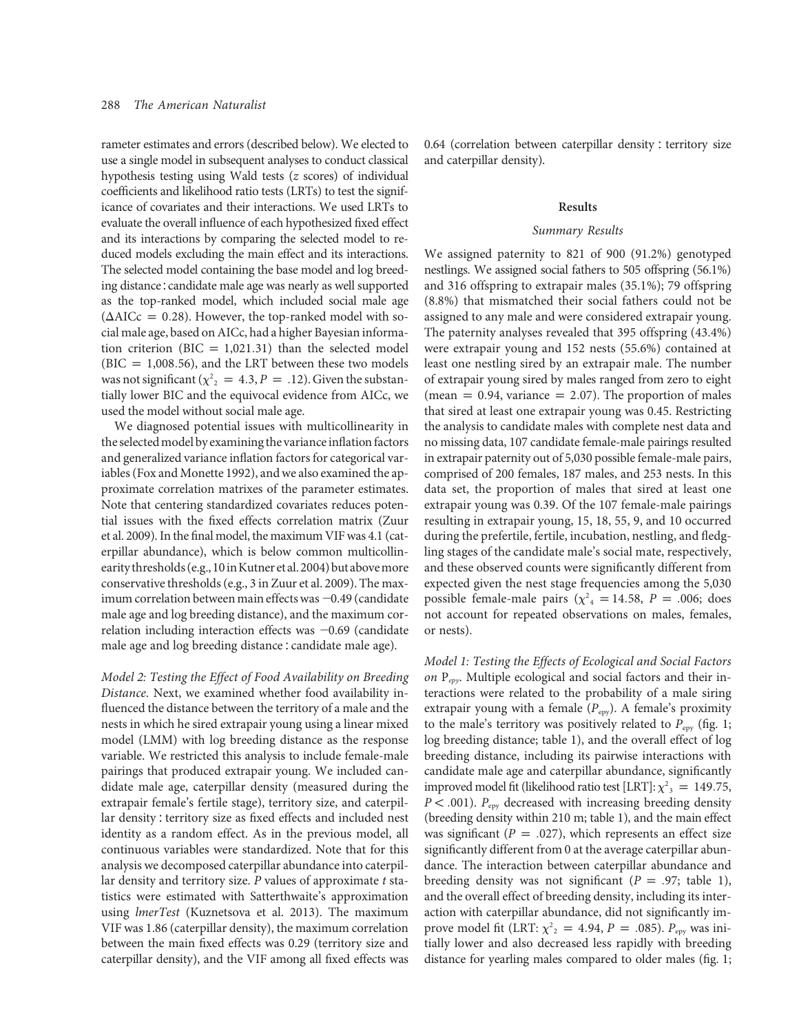rameter estimates and errors (described below). We elected to use a single model in subsequent analyses to conduct classical hypothesis testing using Wald tests (z scores) of individual coefficients and likelihood ratio tests (LRTs) to test the significance of covariates and their interactions. We used LRTs to evaluate the overall influence of each hypothesized fixed effect and its interactions by comparing the selected model to reduced models excluding the main effect and its interactions. The selected model containing the base model and log breeding distance∶candidate male age was nearly as well supported as the top-ranked model, which included social male age  $(\Delta AICc = 0.28)$ . However, the top-ranked model with social male age, based on AICc, had a higher Bayesian information criterion (BIC = 1,021.31) than the selected model (BIC = 1,008.56), and the LRT between these two models was not significant ( $\chi^2$ <sub>2</sub> = 4.3, P = .12). Given the substantially lower BIC and the equivocal evidence from AICc, we used the model without social male age.

We diagnosed potential issues with multicollinearity in the selected model by examining the variance inflation factors and generalized variance inflation factors for categorical variables (Fox and Monette 1992), and we also examined the approximate correlation matrixes of the parameter estimates. Note that centering standardized covariates reduces potential issues with the fixed effects correlation matrix (Zuur et al. 2009). In the final model, the maximum VIF was 4.1 (caterpillar abundance), which is below common multicollinearity thresholds (e.g.,10inKutner et al.2004) but abovemore conservative thresholds (e.g., 3 in Zuur et al. 2009). The maximum correlation between main effects was  $-0.49$  (candidate male age and log breeding distance), and the maximum correlation including interaction effects was  $-0.69$  (candidate male age and log breeding distance∶candidate male age).

Model 2: Testing the Effect of Food Availability on Breeding Distance. Next, we examined whether food availability influenced the distance between the territory of a male and the nests in which he sired extrapair young using a linear mixed model (LMM) with log breeding distance as the response variable. We restricted this analysis to include female-male pairings that produced extrapair young. We included candidate male age, caterpillar density (measured during the extrapair female's fertile stage), territory size, and caterpillar density∶territory size as fixed effects and included nest identity as a random effect. As in the previous model, all continuous variables were standardized. Note that for this analysis we decomposed caterpillar abundance into caterpillar density and territory size. P values of approximate t statistics were estimated with Satterthwaite's approximation using lmerTest (Kuznetsova et al. 2013). The maximum VIF was 1.86 (caterpillar density), the maximum correlation between the main fixed effects was 0.29 (territory size and caterpillar density), and the VIF among all fixed effects was

0.64 (correlation between caterpillar density ∶ territory size and caterpillar density).

#### Results

#### Summary Results

We assigned paternity to 821 of 900 (91.2%) genotyped nestlings. We assigned social fathers to 505 offspring (56.1%) and 316 offspring to extrapair males (35.1%); 79 offspring (8.8%) that mismatched their social fathers could not be assigned to any male and were considered extrapair young. The paternity analyses revealed that 395 offspring (43.4%) were extrapair young and 152 nests (55.6%) contained at least one nestling sired by an extrapair male. The number of extrapair young sired by males ranged from zero to eight (mean = 0.94, variance = 2.07). The proportion of males that sired at least one extrapair young was 0.45. Restricting the analysis to candidate males with complete nest data and no missing data, 107 candidate female-male pairings resulted in extrapair paternity out of 5,030 possible female-male pairs, comprised of 200 females, 187 males, and 253 nests. In this data set, the proportion of males that sired at least one extrapair young was 0.39. Of the 107 female-male pairings resulting in extrapair young, 15, 18, 55, 9, and 10 occurred during the prefertile, fertile, incubation, nestling, and fledgling stages of the candidate male's social mate, respectively, and these observed counts were significantly different from expected given the nest stage frequencies among the 5,030 possible female-male pairs ( $\chi^2$ <sub>4</sub> = 14.58, P = .006; does not account for repeated observations on males, females, or nests).

Model 1: Testing the Effects of Ecological and Social Factors on  $P_{epy}$ . Multiple ecological and social factors and their interactions were related to the probability of a male siring extrapair young with a female  $(P_{\text{epy}})$ . A female's proximity to the male's territory was positively related to  $P_{\text{epy}}$  (fig. 1; log breeding distance; table 1), and the overall effect of log breeding distance, including its pairwise interactions with candidate male age and caterpillar abundance, significantly improved model fit (likelihood ratio test [LRT]:  $\chi^2$ <sub>3</sub> = 149.75,  $P < .001$ ).  $P_{\text{epy}}$  decreased with increasing breeding density (breeding density within 210 m; table 1), and the main effect was significant ( $P = .027$ ), which represents an effect size significantly different from 0 at the average caterpillar abundance. The interaction between caterpillar abundance and breeding density was not significant ( $P = .97$ ; table 1), and the overall effect of breeding density, including its interaction with caterpillar abundance, did not significantly improve model fit (LRT:  $\chi^2$ <sub>2</sub> = 4.94, P = .085). P<sub>epy</sub> was initially lower and also decreased less rapidly with breeding distance for yearling males compared to older males (fig. 1;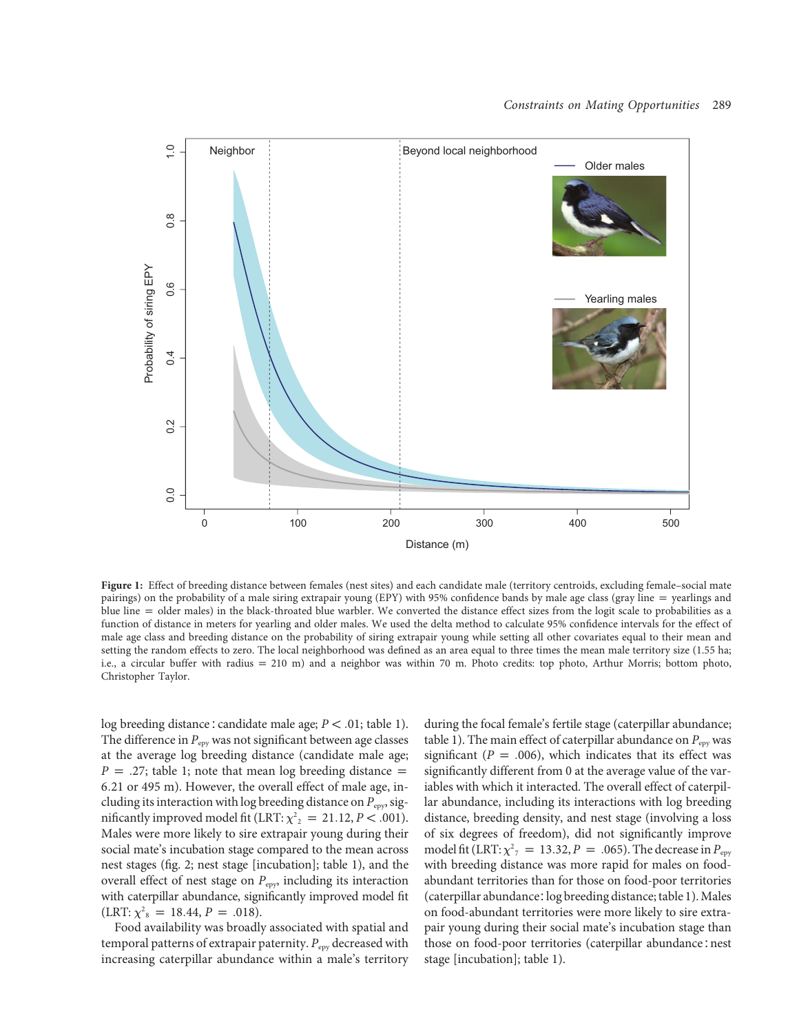

Figure 1: Effect of breeding distance between females (nest sites) and each candidate male (territory centroids, excluding female–social mate pairings) on the probability of a male siring extrapair young (EPY) with 95% confidence bands by male age class (gray line = yearlings and blue line = older males) in the black-throated blue warbler. We converted the distance effect sizes from the logit scale to probabilities as a function of distance in meters for yearling and older males. We used the delta method to calculate 95% confidence intervals for the effect of male age class and breeding distance on the probability of siring extrapair young while setting all other covariates equal to their mean and setting the random effects to zero. The local neighborhood was defined as an area equal to three times the mean male territory size (1.55 ha; i.e., a circular buffer with radius = 210 m) and a neighbor was within 70 m. Photo credits: top photo, Arthur Morris; bottom photo, Christopher Taylor.

log breeding distance : candidate male age;  $P < .01$ ; table 1). The difference in  $P_{\text{env}}$  was not significant between age classes at the average log breeding distance (candidate male age;  $P = .27$ ; table 1; note that mean log breeding distance  $=$ 6:21 or 495 m). However, the overall effect of male age, including its interaction with log breeding distance on  $P_{\text{epy}}$ , significantly improved model fit (LRT:  $\chi^2$ <sub>2</sub> = 21.12, *P* < .001). Males were more likely to sire extrapair young during their social mate's incubation stage compared to the mean across nest stages (fig. 2; nest stage [incubation]; table 1), and the overall effect of nest stage on  $P_{\mathrm{epy}}$  including its interaction with caterpillar abundance, significantly improved model fit  $(LRT: \chi^2_{8} = 18.44, P = .018).$ 

Food availability was broadly associated with spatial and temporal patterns of extrapair paternity.  $P_{\text{epv}}$  decreased with increasing caterpillar abundance within a male's territory

during the focal female's fertile stage (caterpillar abundance; table 1). The main effect of caterpillar abundance on  $P_{\text{env}}$  was significant ( $P = .006$ ), which indicates that its effect was significantly different from 0 at the average value of the variables with which it interacted. The overall effect of caterpillar abundance, including its interactions with log breeding distance, breeding density, and nest stage (involving a loss of six degrees of freedom), did not significantly improve model fit (LRT:  $\chi^2$ <sub>7</sub> = 13.32, P = .065). The decrease in P<sub>epy</sub> with breeding distance was more rapid for males on foodabundant territories than for those on food-poor territories (caterpillar abundance∶log breeding distance; table 1). Males on food-abundant territories were more likely to sire extrapair young during their social mate's incubation stage than those on food-poor territories (caterpillar abundance∶nest stage [incubation]; table 1).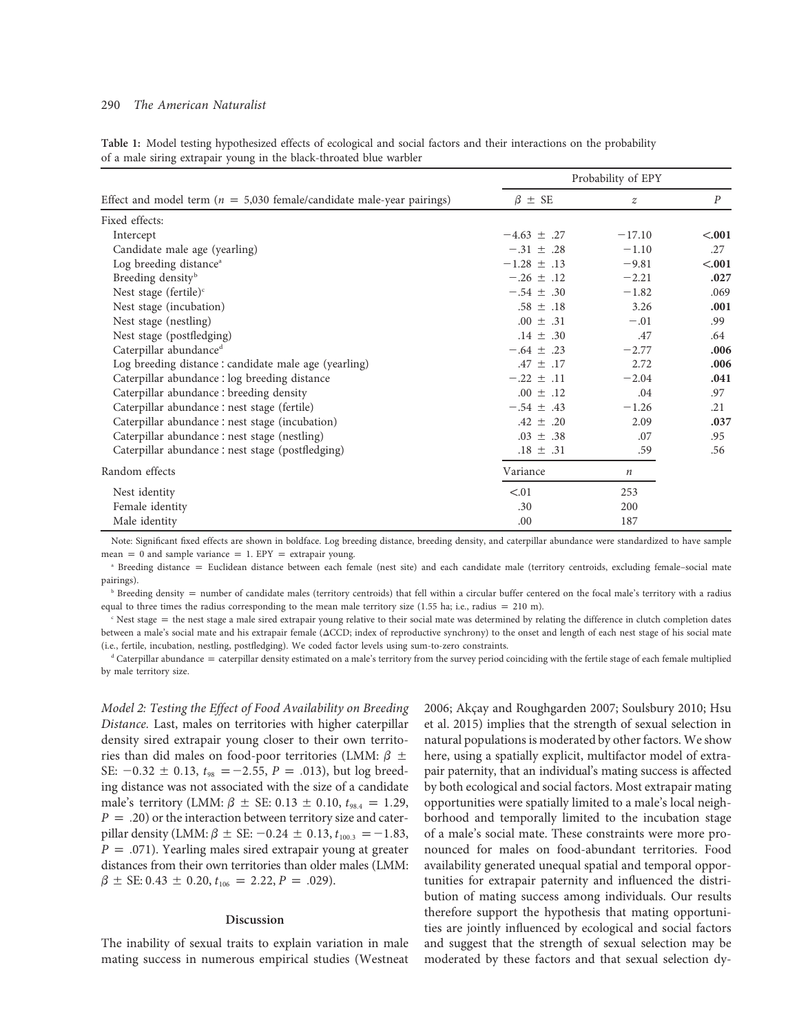#### 290 The American Naturalist

Table 1: Model testing hypothesized effects of ecological and social factors and their interactions on the probability of a male siring extrapair young in the black-throated blue warbler

| Effect and model term ( $n = 5,030$ female/candidate male-year pairings) | Probability of EPY |                  |                  |
|--------------------------------------------------------------------------|--------------------|------------------|------------------|
|                                                                          | $\beta \pm SE$     | $\boldsymbol{z}$ | $\boldsymbol{P}$ |
| Fixed effects:                                                           |                    |                  |                  |
| Intercept                                                                | $-4.63 \pm .27$    | $-17.10$         | < .001           |
| Candidate male age (yearling)                                            | $-.31 \pm .28$     | $-1.10$          | .27              |
| Log breeding distance <sup>a</sup>                                       | $-1.28 \pm .13$    | $-9.81$          | < .001           |
| Breeding density <sup>b</sup>                                            | $-.26 \pm .12$     | $-2.21$          | .027             |
| Nest stage (fertile) $\text{c}$                                          | $-.54 \pm .30$     | $-1.82$          | .069             |
| Nest stage (incubation)                                                  | $.58 \pm .18$      | 3.26             | .001             |
| Nest stage (nestling)                                                    | $.00 \pm .31$      | $-.01$           | .99              |
| Nest stage (postfledging)                                                | $.14 \pm .30$      | .47              | .64              |
| Caterpillar abundance <sup>d</sup>                                       | $-.64 \pm .23$     | $-2.77$          | .006             |
| Log breeding distance : candidate male age (yearling)                    | $.47 \pm .17$      | 2.72             | .006             |
| Caterpillar abundance : log breeding distance                            | $-.22 \pm .11$     | $-2.04$          | .041             |
| Caterpillar abundance : breeding density                                 | $.00 \pm .12$      | .04              | .97              |
| Caterpillar abundance : nest stage (fertile)                             | $-.54 \pm .43$     | $-1.26$          | .21              |
| Caterpillar abundance : nest stage (incubation)                          | $.42 \pm .20$      | 2.09             | .037             |
| Caterpillar abundance : nest stage (nestling)                            | $.03 \pm .38$      | .07              | .95              |
| Caterpillar abundance : nest stage (postfledging)                        | $.18 \pm .31$      | .59              | .56              |
| Random effects                                                           | Variance           | $\boldsymbol{n}$ |                  |
| Nest identity                                                            | < 0.01             | 253              |                  |
| Female identity                                                          | .30                | 200              |                  |
| Male identity                                                            | .00                | 187              |                  |

Note: Significant fixed effects are shown in boldface. Log breeding distance, breeding density, and caterpillar abundance were standardized to have sample mean = 0 and sample variance = 1. EPY = extrapair young.

<sup>a</sup> Breeding distance = Euclidean distance between each female (nest site) and each candidate male (territory centroids, excluding female-social mate pairings).

 $\Phi$  Breeding density = number of candidate males (territory centroids) that fell within a circular buffer centered on the focal male's territory with a radius equal to three times the radius corresponding to the mean male territory size (1.55 ha; i.e., radius = 210 m).

 $c$  Nest stage  $=$  the nest stage a male sired extrapair young relative to their social mate was determined by relating the difference in clutch completion dates between a male's social mate and his extrapair female ( $\Delta CCD$ ; index of reproductive synchrony) to the onset and length of each nest stage of his social mate (i.e., fertile, incubation, nestling, postfledging). We coded factor levels using sum-to-zero constraints.

 $d$  Caterpillar abundance  $=$  caterpillar density estimated on a male's territory from the survey period coinciding with the fertile stage of each female multiplied by male territory size.

Model 2: Testing the Effect of Food Availability on Breeding Distance. Last, males on territories with higher caterpillar density sired extrapair young closer to their own territories than did males on food-poor territories (LMM:  $\beta \pm$ SE:  $-0.32 \pm 0.13$ ,  $t_{98} = -2.55$ ,  $P = .013$ ), but log breeding distance was not associated with the size of a candidate male's territory (LMM:  $\beta \pm \text{SE: } 0.13 \pm 0.10, t_{98.4} = 1.29$ ,  $P = .20$ ) or the interaction between territory size and caterpillar density (LMM:  $\beta \pm \text{SE: } -0.24 \pm 0.13$ ,  $t_{100.3} = -1.83$ ,  $P = .071$ ). Yearling males sired extrapair young at greater distances from their own territories than older males (LMM:  $\beta \pm$  SE: 0.43  $\pm$  0.20,  $t_{106}$  = 2.22, P = .029).

#### Discussion

The inability of sexual traits to explain variation in male mating success in numerous empirical studies (Westneat 2006; Akçay and Roughgarden 2007; Soulsbury 2010; Hsu et al. 2015) implies that the strength of sexual selection in natural populations is moderated by other factors. We show here, using a spatially explicit, multifactor model of extrapair paternity, that an individual's mating success is affected by both ecological and social factors. Most extrapair mating opportunities were spatially limited to a male's local neighborhood and temporally limited to the incubation stage of a male's social mate. These constraints were more pronounced for males on food-abundant territories. Food availability generated unequal spatial and temporal opportunities for extrapair paternity and influenced the distribution of mating success among individuals. Our results therefore support the hypothesis that mating opportunities are jointly influenced by ecological and social factors and suggest that the strength of sexual selection may be moderated by these factors and that sexual selection dy-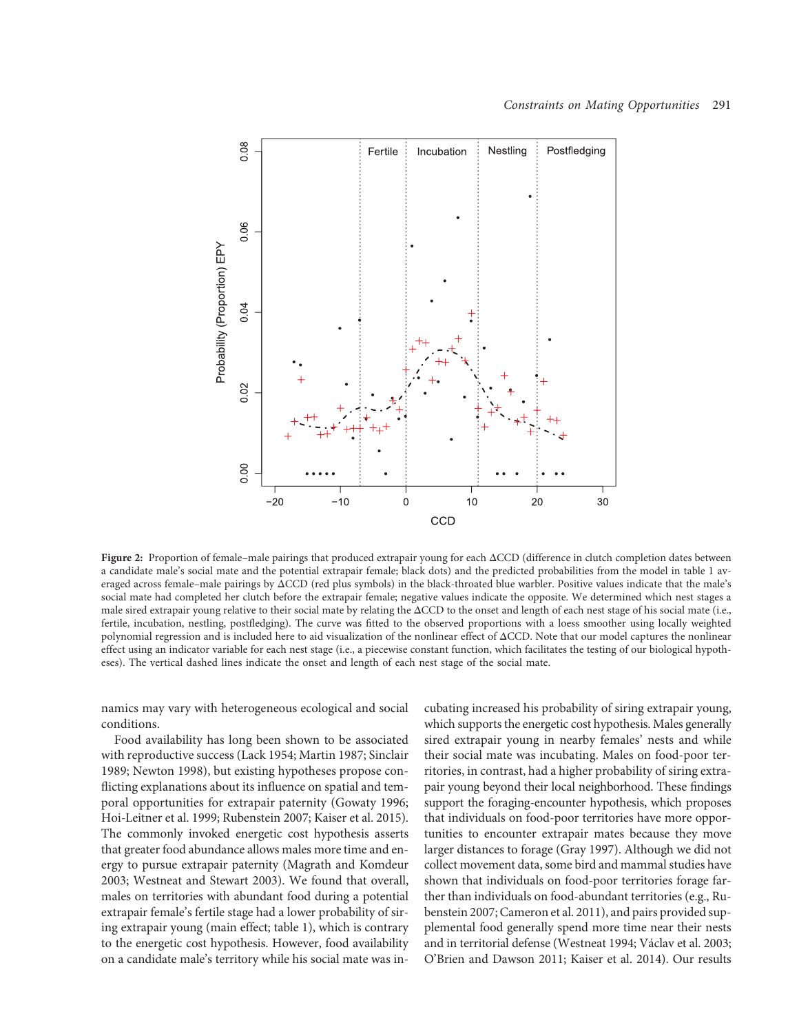

Figure 2: Proportion of female–male pairings that produced extrapair young for each  $\Delta CCD$  (difference in clutch completion dates between a candidate male's social mate and the potential extrapair female; black dots) and the predicted probabilities from the model in table 1 averaged across female–male pairings by  $\Delta CCD$  (red plus symbols) in the black-throated blue warbler. Positive values indicate that the male's social mate had completed her clutch before the extrapair female; negative values indicate the opposite. We determined which nest stages a male sired extrapair young relative to their social mate by relating the  $\Delta CCD$  to the onset and length of each nest stage of his social mate (i.e., fertile, incubation, nestling, postfledging). The curve was fitted to the observed proportions with a loess smoother using locally weighted polynomial regression and is included here to aid visualization of the nonlinear effect of  $\triangle CCD$ . Note that our model captures the nonlinear effect using an indicator variable for each nest stage (i.e., a piecewise constant function, which facilitates the testing of our biological hypotheses). The vertical dashed lines indicate the onset and length of each nest stage of the social mate.

namics may vary with heterogeneous ecological and social conditions.

Food availability has long been shown to be associated with reproductive success (Lack 1954; Martin 1987; Sinclair 1989; Newton 1998), but existing hypotheses propose conflicting explanations about its influence on spatial and temporal opportunities for extrapair paternity (Gowaty 1996; Hoi-Leitner et al. 1999; Rubenstein 2007; Kaiser et al. 2015). The commonly invoked energetic cost hypothesis asserts that greater food abundance allows males more time and energy to pursue extrapair paternity (Magrath and Komdeur 2003; Westneat and Stewart 2003). We found that overall, males on territories with abundant food during a potential extrapair female's fertile stage had a lower probability of siring extrapair young (main effect; table 1), which is contrary to the energetic cost hypothesis. However, food availability on a candidate male's territory while his social mate was incubating increased his probability of siring extrapair young, which supports the energetic cost hypothesis. Males generally sired extrapair young in nearby females' nests and while their social mate was incubating. Males on food-poor territories, in contrast, had a higher probability of siring extrapair young beyond their local neighborhood. These findings support the foraging-encounter hypothesis, which proposes that individuals on food-poor territories have more opportunities to encounter extrapair mates because they move larger distances to forage (Gray 1997). Although we did not collect movement data, some bird and mammal studies have shown that individuals on food-poor territories forage farther than individuals on food-abundant territories (e.g., Rubenstein 2007; Cameron et al. 2011), and pairs provided supplemental food generally spend more time near their nests and in territorial defense (Westneat 1994; Václav et al. 2003; O'Brien and Dawson 2011; Kaiser et al. 2014). Our results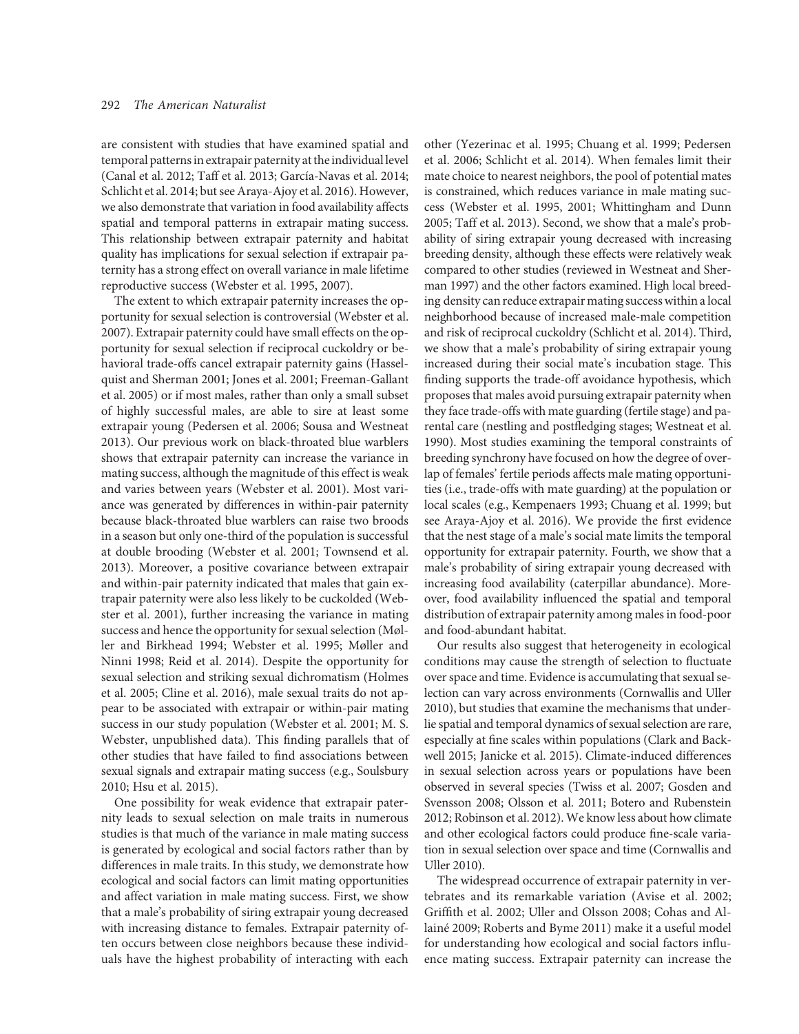are consistent with studies that have examined spatial and temporal patterns in extrapair paternity at the individual level (Canal et al. 2012; Taff et al. 2013; García-Navas et al. 2014; Schlicht et al. 2014; but see Araya-Ajoy et al. 2016). However, we also demonstrate that variation in food availability affects spatial and temporal patterns in extrapair mating success. This relationship between extrapair paternity and habitat quality has implications for sexual selection if extrapair paternity has a strong effect on overall variance in male lifetime reproductive success (Webster et al. 1995, 2007).

The extent to which extrapair paternity increases the opportunity for sexual selection is controversial (Webster et al. 2007). Extrapair paternity could have small effects on the opportunity for sexual selection if reciprocal cuckoldry or behavioral trade-offs cancel extrapair paternity gains (Hasselquist and Sherman 2001; Jones et al. 2001; Freeman-Gallant et al. 2005) or if most males, rather than only a small subset of highly successful males, are able to sire at least some extrapair young (Pedersen et al. 2006; Sousa and Westneat 2013). Our previous work on black-throated blue warblers shows that extrapair paternity can increase the variance in mating success, although the magnitude of this effect is weak and varies between years (Webster et al. 2001). Most variance was generated by differences in within-pair paternity because black-throated blue warblers can raise two broods in a season but only one-third of the population is successful at double brooding (Webster et al. 2001; Townsend et al. 2013). Moreover, a positive covariance between extrapair and within-pair paternity indicated that males that gain extrapair paternity were also less likely to be cuckolded (Webster et al. 2001), further increasing the variance in mating success and hence the opportunity for sexual selection (Møller and Birkhead 1994; Webster et al. 1995; Møller and Ninni 1998; Reid et al. 2014). Despite the opportunity for sexual selection and striking sexual dichromatism (Holmes et al. 2005; Cline et al. 2016), male sexual traits do not appear to be associated with extrapair or within-pair mating success in our study population (Webster et al. 2001; M. S. Webster, unpublished data). This finding parallels that of other studies that have failed to find associations between sexual signals and extrapair mating success (e.g., Soulsbury 2010; Hsu et al. 2015).

One possibility for weak evidence that extrapair paternity leads to sexual selection on male traits in numerous studies is that much of the variance in male mating success is generated by ecological and social factors rather than by differences in male traits. In this study, we demonstrate how ecological and social factors can limit mating opportunities and affect variation in male mating success. First, we show that a male's probability of siring extrapair young decreased with increasing distance to females. Extrapair paternity often occurs between close neighbors because these individuals have the highest probability of interacting with each

other (Yezerinac et al. 1995; Chuang et al. 1999; Pedersen et al. 2006; Schlicht et al. 2014). When females limit their mate choice to nearest neighbors, the pool of potential mates is constrained, which reduces variance in male mating success (Webster et al. 1995, 2001; Whittingham and Dunn 2005; Taff et al. 2013). Second, we show that a male's probability of siring extrapair young decreased with increasing breeding density, although these effects were relatively weak compared to other studies (reviewed in Westneat and Sherman 1997) and the other factors examined. High local breeding density can reduce extrapair mating success within a local neighborhood because of increased male-male competition and risk of reciprocal cuckoldry (Schlicht et al. 2014). Third, we show that a male's probability of siring extrapair young increased during their social mate's incubation stage. This finding supports the trade-off avoidance hypothesis, which proposes that males avoid pursuing extrapair paternity when they face trade-offs with mate guarding (fertile stage) and parental care (nestling and postfledging stages; Westneat et al. 1990). Most studies examining the temporal constraints of breeding synchrony have focused on how the degree of overlap of females' fertile periods affects male mating opportunities (i.e., trade-offs with mate guarding) at the population or local scales (e.g., Kempenaers 1993; Chuang et al. 1999; but see Araya-Ajoy et al. 2016). We provide the first evidence that the nest stage of a male's social mate limits the temporal opportunity for extrapair paternity. Fourth, we show that a male's probability of siring extrapair young decreased with increasing food availability (caterpillar abundance). Moreover, food availability influenced the spatial and temporal distribution of extrapair paternity among males in food-poor and food-abundant habitat.

Our results also suggest that heterogeneity in ecological conditions may cause the strength of selection to fluctuate over space and time. Evidence is accumulating that sexual selection can vary across environments (Cornwallis and Uller 2010), but studies that examine the mechanisms that underlie spatial and temporal dynamics of sexual selection are rare, especially at fine scales within populations (Clark and Backwell 2015; Janicke et al. 2015). Climate-induced differences in sexual selection across years or populations have been observed in several species (Twiss et al. 2007; Gosden and Svensson 2008; Olsson et al. 2011; Botero and Rubenstein 2012; Robinson et al. 2012). We know less about how climate and other ecological factors could produce fine-scale variation in sexual selection over space and time (Cornwallis and Uller 2010).

The widespread occurrence of extrapair paternity in vertebrates and its remarkable variation (Avise et al. 2002; Griffith et al. 2002; Uller and Olsson 2008; Cohas and Allainé 2009; Roberts and Byme 2011) make it a useful model for understanding how ecological and social factors influence mating success. Extrapair paternity can increase the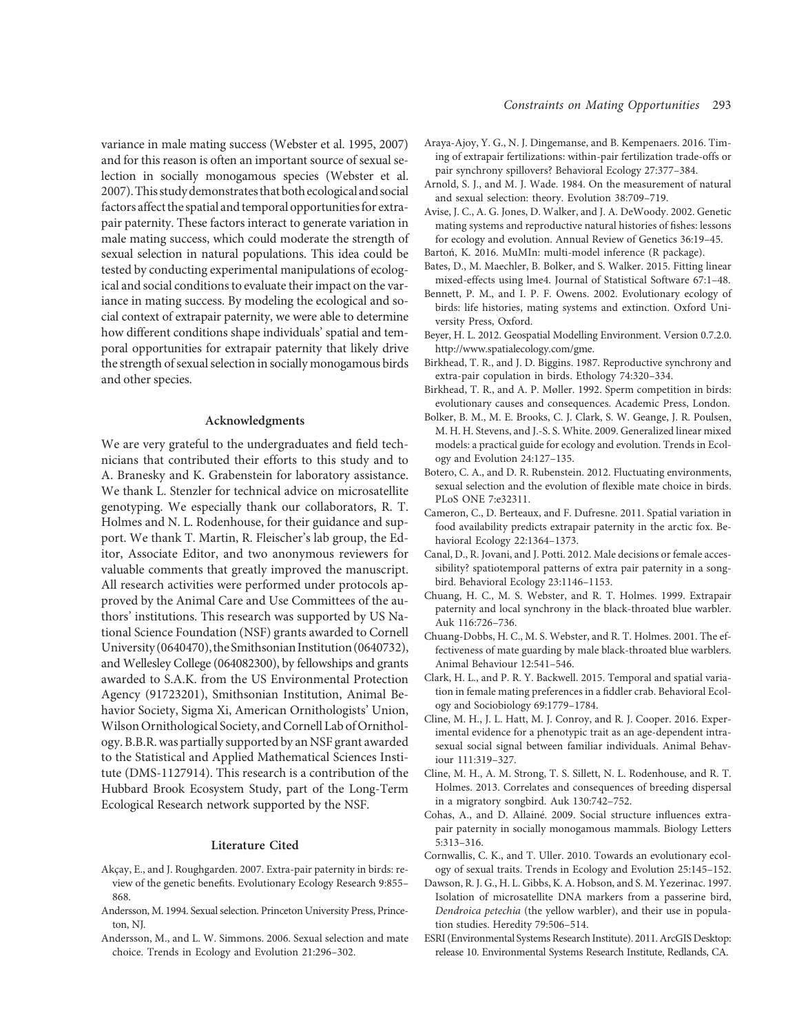variance in male mating success (Webster et al. 1995, 2007) and for this reason is often an important source of sexual selection in socially monogamous species (Webster et al. 2007).This study demonstrates that both ecologicaland social factors affect the spatial and temporal opportunities for extrapair paternity. These factors interact to generate variation in male mating success, which could moderate the strength of sexual selection in natural populations. This idea could be tested by conducting experimental manipulations of ecological and social conditions to evaluate their impact on the variance in mating success. By modeling the ecological and social context of extrapair paternity, we were able to determine how different conditions shape individuals' spatial and temporal opportunities for extrapair paternity that likely drive the strength of sexual selection in socially monogamous birds and other species.

#### Acknowledgments

We are very grateful to the undergraduates and field technicians that contributed their efforts to this study and to A. Branesky and K. Grabenstein for laboratory assistance. We thank L. Stenzler for technical advice on microsatellite genotyping. We especially thank our collaborators, R. T. Holmes and N. L. Rodenhouse, for their guidance and support. We thank T. Martin, R. Fleischer's lab group, the Editor, Associate Editor, and two anonymous reviewers for valuable comments that greatly improved the manuscript. All research activities were performed under protocols approved by the Animal Care and Use Committees of the authors' institutions. This research was supported by US National Science Foundation (NSF) grants awarded to Cornell University (0640470), theSmithsonian Institution (0640732), and Wellesley College (064082300), by fellowships and grants awarded to S.A.K. from the US Environmental Protection Agency (91723201), Smithsonian Institution, Animal Behavior Society, Sigma Xi, American Ornithologists' Union, Wilson Ornithological Society, and Cornell Lab of Ornithology. B.B.R. was partially supported by an NSF grant awarded to the Statistical and Applied Mathematical Sciences Institute (DMS-1127914). This research is a contribution of the Hubbard Brook Ecosystem Study, part of the Long-Term Ecological Research network supported by the NSF.

#### Literature Cited

- Akçay, E., and J. Roughgarden. 2007. Extra-pair paternity in birds: review of the genetic benefits. Evolutionary Ecology Research 9:855– 868.
- Andersson, M. 1994. Sexual selection. Princeton University Press, Princeton, NJ.
- Andersson, M., and L. W. Simmons. 2006. Sexual selection and mate choice. Trends in Ecology and Evolution 21:296–302.
- Araya-Ajoy, Y. G., N. J. Dingemanse, and B. Kempenaers. 2016. Timing of extrapair fertilizations: within-pair fertilization trade-offs or pair synchrony spillovers? Behavioral Ecology 27:377–384.
- Arnold, S. J., and M. J. Wade. 1984. On the measurement of natural and sexual selection: theory. Evolution 38:709–719.
- Avise, J. C., A. G. Jones, D. Walker, and J. A. DeWoody. 2002. Genetic mating systems and reproductive natural histories of fishes: lessons for ecology and evolution. Annual Review of Genetics 36:19–45.
- Bartoń, K. 2016. MuMIn: multi-model inference (R package). Bates, D., M. Maechler, B. Bolker, and S. Walker. 2015. Fitting linear
- mixed-effects using lme4. Journal of Statistical Software 67:1–48.
- Bennett, P. M., and I. P. F. Owens. 2002. Evolutionary ecology of birds: life histories, mating systems and extinction. Oxford University Press, Oxford.
- Beyer, H. L. 2012. Geospatial Modelling Environment. Version 0.7.2.0. http://www.spatialecology.com/gme.
- Birkhead, T. R., and J. D. Biggins. 1987. Reproductive synchrony and extra-pair copulation in birds. Ethology 74:320–334.
- Birkhead, T. R., and A. P. Møller. 1992. Sperm competition in birds: evolutionary causes and consequences. Academic Press, London.
- Bolker, B. M., M. E. Brooks, C. J. Clark, S. W. Geange, J. R. Poulsen, M. H. H. Stevens, and J.-S. S. White. 2009. Generalized linear mixed models: a practical guide for ecology and evolution. Trends in Ecology and Evolution 24:127–135.
- Botero, C. A., and D. R. Rubenstein. 2012. Fluctuating environments, sexual selection and the evolution of flexible mate choice in birds. PLoS ONE 7:e32311.
- Cameron, C., D. Berteaux, and F. Dufresne. 2011. Spatial variation in food availability predicts extrapair paternity in the arctic fox. Behavioral Ecology 22:1364–1373.
- Canal, D., R. Jovani, and J. Potti. 2012. Male decisions or female accessibility? spatiotemporal patterns of extra pair paternity in a songbird. Behavioral Ecology 23:1146–1153.
- Chuang, H. C., M. S. Webster, and R. T. Holmes. 1999. Extrapair paternity and local synchrony in the black-throated blue warbler. Auk 116:726–736.
- Chuang-Dobbs, H. C., M. S. Webster, and R. T. Holmes. 2001. The effectiveness of mate guarding by male black-throated blue warblers. Animal Behaviour 12:541–546.
- Clark, H. L., and P. R. Y. Backwell. 2015. Temporal and spatial variation in female mating preferences in a fiddler crab. Behavioral Ecology and Sociobiology 69:1779–1784.
- Cline, M. H., J. L. Hatt, M. J. Conroy, and R. J. Cooper. 2016. Experimental evidence for a phenotypic trait as an age-dependent intrasexual social signal between familiar individuals. Animal Behaviour 111:319–327.
- Cline, M. H., A. M. Strong, T. S. Sillett, N. L. Rodenhouse, and R. T. Holmes. 2013. Correlates and consequences of breeding dispersal in a migratory songbird. Auk 130:742–752.
- Cohas, A., and D. Allainé. 2009. Social structure influences extrapair paternity in socially monogamous mammals. Biology Letters 5:313–316.
- Cornwallis, C. K., and T. Uller. 2010. Towards an evolutionary ecology of sexual traits. Trends in Ecology and Evolution 25:145–152.
- Dawson, R. J. G., H. L. Gibbs, K. A. Hobson, and S. M. Yezerinac. 1997. Isolation of microsatellite DNA markers from a passerine bird, Dendroica petechia (the yellow warbler), and their use in population studies. Heredity 79:506–514.
- ESRI (Environmental Systems Research Institute). 2011. ArcGIS Desktop: release 10. Environmental Systems Research Institute, Redlands, CA.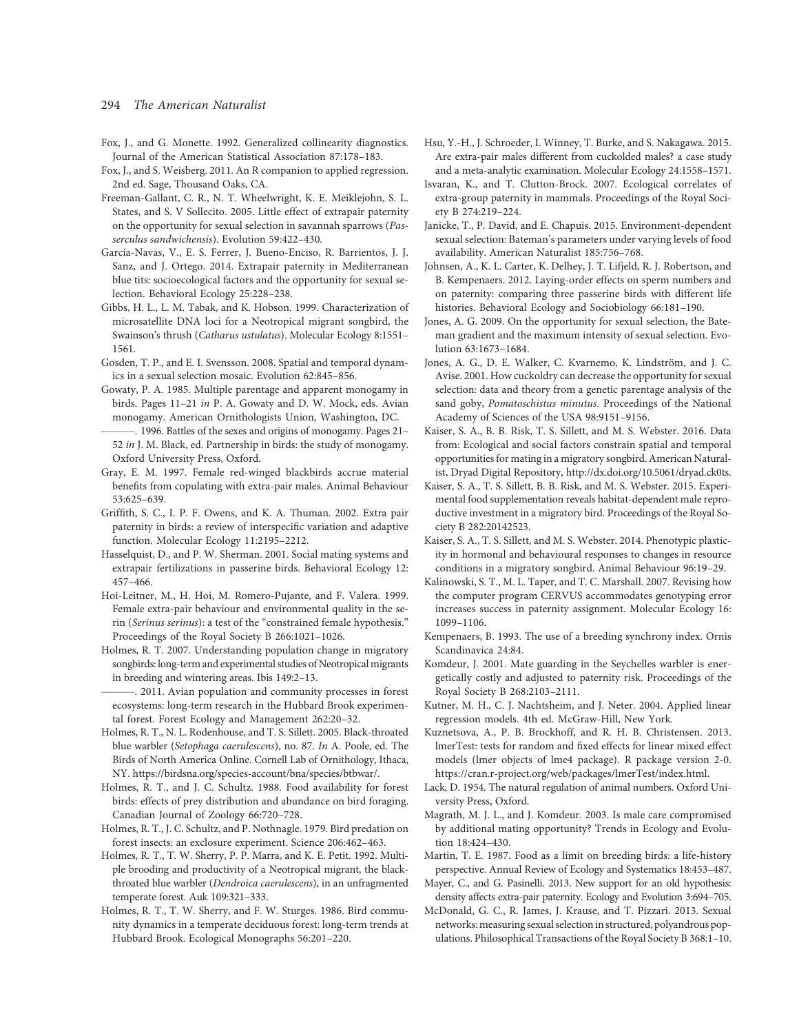#### 294 The American Naturalist

- Fox, J., and G. Monette. 1992. Generalized collinearity diagnostics. Journal of the American Statistical Association 87:178–183.
- Fox, J., and S. Weisberg. 2011. An R companion to applied regression. 2nd ed. Sage, Thousand Oaks, CA.
- Freeman-Gallant, C. R., N. T. Wheelwright, K. E. Meiklejohn, S. L. States, and S. V Sollecito. 2005. Little effect of extrapair paternity on the opportunity for sexual selection in savannah sparrows (Passerculus sandwichensis). Evolution 59:422–430.
- García-Navas, V., E. S. Ferrer, J. Bueno-Enciso, R. Barrientos, J. J. Sanz, and J. Ortego. 2014. Extrapair paternity in Mediterranean blue tits: socioecological factors and the opportunity for sexual selection. Behavioral Ecology 25:228–238.
- Gibbs, H. L., L. M. Tabak, and K. Hobson. 1999. Characterization of microsatellite DNA loci for a Neotropical migrant songbird, the Swainson's thrush (Catharus ustulatus). Molecular Ecology 8:1551– 1561.
- Gosden, T. P., and E. I. Svensson. 2008. Spatial and temporal dynamics in a sexual selection mosaic. Evolution 62:845–856.
- Gowaty, P. A. 1985. Multiple parentage and apparent monogamy in birds. Pages 11–21 in P. A. Gowaty and D. W. Mock, eds. Avian monogamy. American Ornithologists Union, Washington, DC.
- -. 1996. Battles of the sexes and origins of monogamy. Pages 21-52 in J. M. Black, ed. Partnership in birds: the study of monogamy. Oxford University Press, Oxford.
- Gray, E. M. 1997. Female red-winged blackbirds accrue material benefits from copulating with extra-pair males. Animal Behaviour 53:625–639.
- Griffith, S. C., I. P. F. Owens, and K. A. Thuman. 2002. Extra pair paternity in birds: a review of interspecific variation and adaptive function. Molecular Ecology 11:2195–2212.
- Hasselquist, D., and P. W. Sherman. 2001. Social mating systems and extrapair fertilizations in passerine birds. Behavioral Ecology 12: 457–466.
- Hoi-Leitner, M., H. Hoi, M. Romero-Pujante, and F. Valera. 1999. Female extra-pair behaviour and environmental quality in the serin (Serinus serinus): a test of the "constrained female hypothesis." Proceedings of the Royal Society B 266:1021–1026.
- Holmes, R. T. 2007. Understanding population change in migratory songbirds: long-term and experimental studies of Neotropical migrants in breeding and wintering areas. Ibis 149:2–13.
- ———. 2011. Avian population and community processes in forest ecosystems: long-term research in the Hubbard Brook experimental forest. Forest Ecology and Management 262:20–32.
- Holmes, R. T., N. L. Rodenhouse, and T. S. Sillett. 2005. Black-throated blue warbler (Setophaga caerulescens), no. 87. In A. Poole, ed. The Birds of North America Online. Cornell Lab of Ornithology, Ithaca, NY. https://birdsna.org/species-account/bna/species/btbwar/.
- Holmes, R. T., and J. C. Schultz. 1988. Food availability for forest birds: effects of prey distribution and abundance on bird foraging. Canadian Journal of Zoology 66:720–728.
- Holmes, R. T., J. C. Schultz, and P. Nothnagle. 1979. Bird predation on forest insects: an exclosure experiment. Science 206:462–463.
- Holmes, R. T., T. W. Sherry, P. P. Marra, and K. E. Petit. 1992. Multiple brooding and productivity of a Neotropical migrant, the blackthroated blue warbler (Dendroica caerulescens), in an unfragmented temperate forest. Auk 109:321–333.
- Holmes, R. T., T. W. Sherry, and F. W. Sturges. 1986. Bird community dynamics in a temperate deciduous forest: long-term trends at Hubbard Brook. Ecological Monographs 56:201–220.
- Hsu, Y.-H., J. Schroeder, I. Winney, T. Burke, and S. Nakagawa. 2015. Are extra-pair males different from cuckolded males? a case study and a meta-analytic examination. Molecular Ecology 24:1558–1571.
- Isvaran, K., and T. Clutton-Brock. 2007. Ecological correlates of extra-group paternity in mammals. Proceedings of the Royal Society B 274:219–224.
- Janicke, T., P. David, and E. Chapuis. 2015. Environment-dependent sexual selection: Bateman's parameters under varying levels of food availability. American Naturalist 185:756–768.
- Johnsen, A., K. L. Carter, K. Delhey, J. T. Lifjeld, R. J. Robertson, and B. Kempenaers. 2012. Laying-order effects on sperm numbers and on paternity: comparing three passerine birds with different life histories. Behavioral Ecology and Sociobiology 66:181–190.
- Jones, A. G. 2009. On the opportunity for sexual selection, the Bateman gradient and the maximum intensity of sexual selection. Evolution 63:1673–1684.
- Jones, A. G., D. E. Walker, C. Kvarnemo, K. Lindström, and J. C. Avise. 2001. How cuckoldry can decrease the opportunity for sexual selection: data and theory from a genetic parentage analysis of the sand goby, Pomatoschistus minutus. Proceedings of the National Academy of Sciences of the USA 98:9151–9156.
- Kaiser, S. A., B. B. Risk, T. S. Sillett, and M. S. Webster. 2016. Data from: Ecological and social factors constrain spatial and temporal opportunities for mating in a migratory songbird. American Naturalist, Dryad Digital Repository, http://dx.doi.org/10.5061/dryad.ck0ts.
- Kaiser, S. A., T. S. Sillett, B. B. Risk, and M. S. Webster. 2015. Experimental food supplementation reveals habitat-dependent male reproductive investment in a migratory bird. Proceedings of the Royal Society B 282:20142523.
- Kaiser, S. A., T. S. Sillett, and M. S. Webster. 2014. Phenotypic plasticity in hormonal and behavioural responses to changes in resource conditions in a migratory songbird. Animal Behaviour 96:19–29.
- Kalinowski, S. T., M. L. Taper, and T. C. Marshall. 2007. Revising how the computer program CERVUS accommodates genotyping error increases success in paternity assignment. Molecular Ecology 16: 1099–1106.
- Kempenaers, B. 1993. The use of a breeding synchrony index. Ornis Scandinavica 24:84.
- Komdeur, J. 2001. Mate guarding in the Seychelles warbler is energetically costly and adjusted to paternity risk. Proceedings of the Royal Society B 268:2103–2111.
- Kutner, M. H., C. J. Nachtsheim, and J. Neter. 2004. Applied linear regression models. 4th ed. McGraw-Hill, New York.
- Kuznetsova, A., P. B. Brockhoff, and R. H. B. Christensen. 2013. lmerTest: tests for random and fixed effects for linear mixed effect models (lmer objects of lme4 package). R package version 2-0. https://cran.r-project.org/web/packages/lmerTest/index.html.
- Lack, D. 1954. The natural regulation of animal numbers. Oxford University Press, Oxford.
- Magrath, M. J. L., and J. Komdeur. 2003. Is male care compromised by additional mating opportunity? Trends in Ecology and Evolution 18:424–430.
- Martin, T. E. 1987. Food as a limit on breeding birds: a life-history perspective. Annual Review of Ecology and Systematics 18:453–487.
- Mayer, C., and G. Pasinelli. 2013. New support for an old hypothesis: density affects extra-pair paternity. Ecology and Evolution 3:694–705.
- McDonald, G. C., R. James, J. Krause, and T. Pizzari. 2013. Sexual networks: measuring sexual selection in structured, polyandrous populations. Philosophical Transactions of the Royal Society B 368:1–10.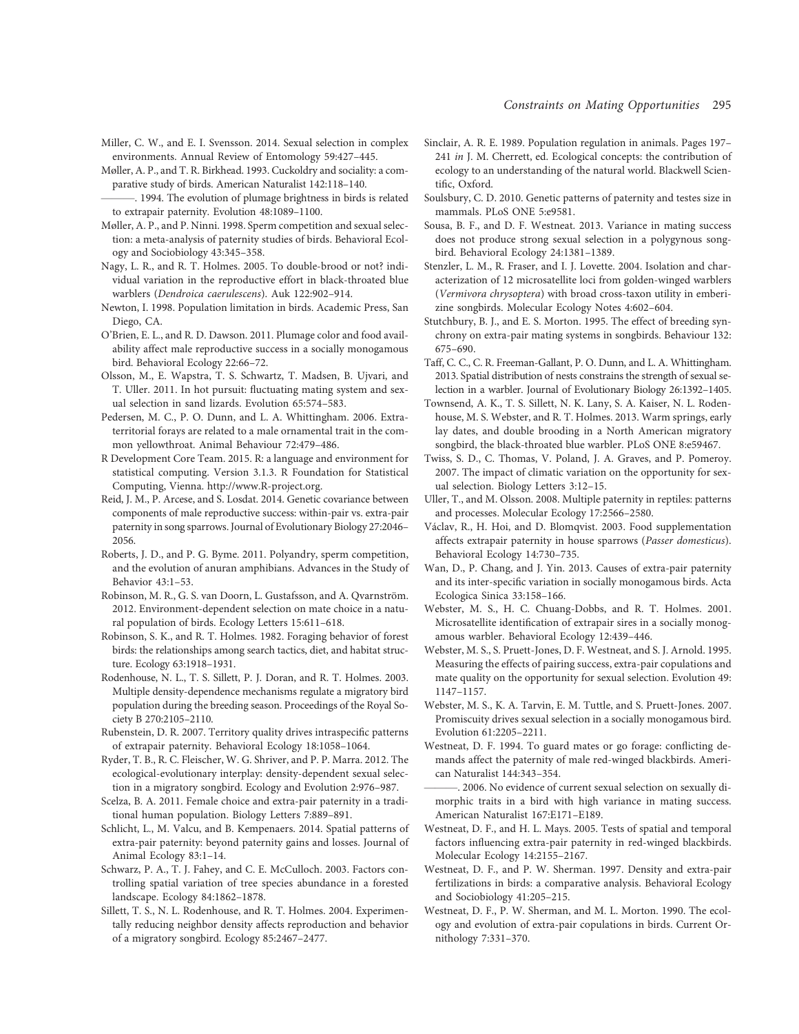Miller, C. W., and E. I. Svensson. 2014. Sexual selection in complex environments. Annual Review of Entomology 59:427–445.

Møller, A. P., and T. R. Birkhead. 1993. Cuckoldry and sociality: a comparative study of birds. American Naturalist 142:118–140.

- . 1994. The evolution of plumage brightness in birds is related to extrapair paternity. Evolution 48:1089–1100.
- Møller, A. P., and P. Ninni. 1998. Sperm competition and sexual selection: a meta-analysis of paternity studies of birds. Behavioral Ecology and Sociobiology 43:345–358.
- Nagy, L. R., and R. T. Holmes. 2005. To double-brood or not? individual variation in the reproductive effort in black-throated blue warblers (Dendroica caerulescens). Auk 122:902–914.
- Newton, I. 1998. Population limitation in birds. Academic Press, San Diego, CA.
- O'Brien, E. L., and R. D. Dawson. 2011. Plumage color and food availability affect male reproductive success in a socially monogamous bird. Behavioral Ecology 22:66–72.
- Olsson, M., E. Wapstra, T. S. Schwartz, T. Madsen, B. Ujvari, and T. Uller. 2011. In hot pursuit: fluctuating mating system and sexual selection in sand lizards. Evolution 65:574–583.
- Pedersen, M. C., P. O. Dunn, and L. A. Whittingham. 2006. Extraterritorial forays are related to a male ornamental trait in the common yellowthroat. Animal Behaviour 72:479–486.
- R Development Core Team. 2015. R: a language and environment for statistical computing. Version 3.1.3. R Foundation for Statistical Computing, Vienna. http://www.R-project.org.
- Reid, J. M., P. Arcese, and S. Losdat. 2014. Genetic covariance between components of male reproductive success: within-pair vs. extra-pair paternity in song sparrows. Journal of Evolutionary Biology 27:2046– 2056.
- Roberts, J. D., and P. G. Byme. 2011. Polyandry, sperm competition, and the evolution of anuran amphibians. Advances in the Study of Behavior 43:1–53.
- Robinson, M. R., G. S. van Doorn, L. Gustafsson, and A. Qvarnström. 2012. Environment-dependent selection on mate choice in a natural population of birds. Ecology Letters 15:611–618.
- Robinson, S. K., and R. T. Holmes. 1982. Foraging behavior of forest birds: the relationships among search tactics, diet, and habitat structure. Ecology 63:1918–1931.
- Rodenhouse, N. L., T. S. Sillett, P. J. Doran, and R. T. Holmes. 2003. Multiple density-dependence mechanisms regulate a migratory bird population during the breeding season. Proceedings of the Royal Society B 270:2105–2110.
- Rubenstein, D. R. 2007. Territory quality drives intraspecific patterns of extrapair paternity. Behavioral Ecology 18:1058–1064.
- Ryder, T. B., R. C. Fleischer, W. G. Shriver, and P. P. Marra. 2012. The ecological-evolutionary interplay: density-dependent sexual selection in a migratory songbird. Ecology and Evolution 2:976–987.
- Scelza, B. A. 2011. Female choice and extra-pair paternity in a traditional human population. Biology Letters 7:889–891.
- Schlicht, L., M. Valcu, and B. Kempenaers. 2014. Spatial patterns of extra-pair paternity: beyond paternity gains and losses. Journal of Animal Ecology 83:1–14.
- Schwarz, P. A., T. J. Fahey, and C. E. McCulloch. 2003. Factors controlling spatial variation of tree species abundance in a forested landscape. Ecology 84:1862–1878.
- Sillett, T. S., N. L. Rodenhouse, and R. T. Holmes. 2004. Experimentally reducing neighbor density affects reproduction and behavior of a migratory songbird. Ecology 85:2467–2477.
- Sinclair, A. R. E. 1989. Population regulation in animals. Pages 197– 241 in J. M. Cherrett, ed. Ecological concepts: the contribution of ecology to an understanding of the natural world. Blackwell Scientific, Oxford.
- Soulsbury, C. D. 2010. Genetic patterns of paternity and testes size in mammals. PLoS ONE 5:e9581.
- Sousa, B. F., and D. F. Westneat. 2013. Variance in mating success does not produce strong sexual selection in a polygynous songbird. Behavioral Ecology 24:1381–1389.
- Stenzler, L. M., R. Fraser, and I. J. Lovette. 2004. Isolation and characterization of 12 microsatellite loci from golden-winged warblers (Vermivora chrysoptera) with broad cross-taxon utility in emberizine songbirds. Molecular Ecology Notes 4:602–604.
- Stutchbury, B. J., and E. S. Morton. 1995. The effect of breeding synchrony on extra-pair mating systems in songbirds. Behaviour 132: 675–690.
- Taff, C. C., C. R. Freeman-Gallant, P. O. Dunn, and L. A. Whittingham. 2013. Spatial distribution of nests constrains the strength of sexual selection in a warbler. Journal of Evolutionary Biology 26:1392–1405.
- Townsend, A. K., T. S. Sillett, N. K. Lany, S. A. Kaiser, N. L. Rodenhouse, M. S. Webster, and R. T. Holmes. 2013. Warm springs, early lay dates, and double brooding in a North American migratory songbird, the black-throated blue warbler. PLoS ONE 8:e59467.
- Twiss, S. D., C. Thomas, V. Poland, J. A. Graves, and P. Pomeroy. 2007. The impact of climatic variation on the opportunity for sexual selection. Biology Letters 3:12–15.
- Uller, T., and M. Olsson. 2008. Multiple paternity in reptiles: patterns and processes. Molecular Ecology 17:2566–2580.
- Václav, R., H. Hoi, and D. Blomqvist. 2003. Food supplementation affects extrapair paternity in house sparrows (Passer domesticus). Behavioral Ecology 14:730–735.
- Wan, D., P. Chang, and J. Yin. 2013. Causes of extra-pair paternity and its inter-specific variation in socially monogamous birds. Acta Ecologica Sinica 33:158–166.
- Webster, M. S., H. C. Chuang-Dobbs, and R. T. Holmes. 2001. Microsatellite identification of extrapair sires in a socially monogamous warbler. Behavioral Ecology 12:439–446.
- Webster, M. S., S. Pruett-Jones, D. F. Westneat, and S. J. Arnold. 1995. Measuring the effects of pairing success, extra-pair copulations and mate quality on the opportunity for sexual selection. Evolution 49: 1147–1157.
- Webster, M. S., K. A. Tarvin, E. M. Tuttle, and S. Pruett-Jones. 2007. Promiscuity drives sexual selection in a socially monogamous bird. Evolution 61:2205–2211.
- Westneat, D. F. 1994. To guard mates or go forage: conflicting demands affect the paternity of male red-winged blackbirds. American Naturalist 144:343–354.
- . 2006. No evidence of current sexual selection on sexually dimorphic traits in a bird with high variance in mating success. American Naturalist 167:E171–E189.
- Westneat, D. F., and H. L. Mays. 2005. Tests of spatial and temporal factors influencing extra-pair paternity in red-winged blackbirds. Molecular Ecology 14:2155–2167.
- Westneat, D. F., and P. W. Sherman. 1997. Density and extra-pair fertilizations in birds: a comparative analysis. Behavioral Ecology and Sociobiology 41:205–215.
- Westneat, D. F., P. W. Sherman, and M. L. Morton. 1990. The ecology and evolution of extra-pair copulations in birds. Current Ornithology 7:331–370.